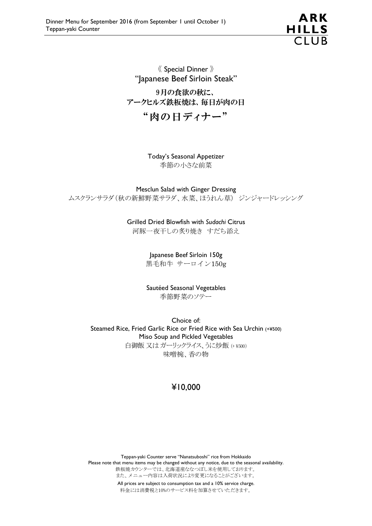

《 Special Dinner 》 "Japanese Beef Sirloin Steak"

9月の食欲の秋に、 アークヒルズ鉄板焼は、毎日が肉の日 "肉の日ディナー"

> Today's Seasonal Appetizer 季節の小さな前菜

Mesclun Salad with Ginger Dressing ムスクランサラダ(秋の新鮮野菜サラダ、水菜、ほうれん草) ジンジャードレッシング

> Grilled Dried Blowfish with Sudachi Citrus 河豚一夜干しの炙り焼き すだち添え

> > Japanese Beef Sirloin 150g 黒毛和牛 サーロイン150g

Sautéed Seasonal Vegetables 季節野菜のソテー

Choice of: Steamed Rice, Fried Garlic Rice or Fried Rice with Sea Urchin (+¥500) Miso Soup and Pickled Vegetables 白御飯 又は ガーリックライス、うに炒飯 (+ ¥500) 味噌椀、香の物

## ¥10,000

Teppan-yaki Counter serve "Nanatsuboshi" rice from Hokkaido Please note that menu items may be changed without any notice, due to the seasonal availability. 鉄板焼カウンターでは、北海道産ななつぼし米を使用しております。 また、メニュー内容は入荷状況により変更になることがございます。 All prices are subject to consumption tax and a 10% service charge. 料金には消費税と10%のサービス料を加算させていただきます。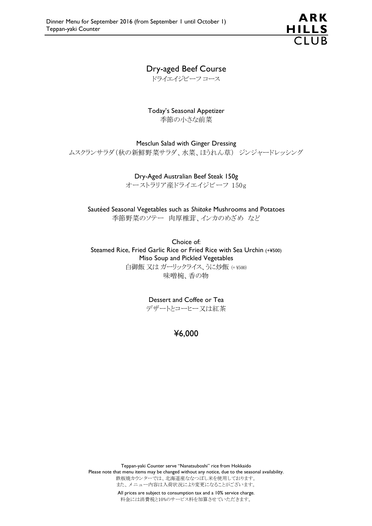

## Dry-aged Beef Course

ドライエイジビーフ コース

Today's Seasonal Appetizer 季節の小さな前菜

#### Mesclun Salad with Ginger Dressing

ムスクランサラダ(秋の新鮮野菜サラダ、水菜、ほうれん草) ジンジャードレッシング

Dry-Aged Australian Beef Steak 150g

オーストラリア産ドライエイジビーフ 150g

Sautéed Seasonal Vegetables such as Shiitake Mushrooms and Potatoes 季節野菜のソテー 肉厚椎茸、インカのめざめ など

Choice of: Steamed Rice, Fried Garlic Rice or Fried Rice with Sea Urchin (+¥500) Miso Soup and Pickled Vegetables 白御飯 又は ガーリックライス、うに炒飯 (+ ¥500) 味噌椀、香の物

#### Dessert and Coffee or Tea

デザートとコーヒー又は紅茶

¥6,000

Teppan-yaki Counter serve "Nanatsuboshi" rice from Hokkaido Please note that menu items may be changed without any notice, due to the seasonal availability. 鉄板焼カウンターでは、北海道産ななつぼし米を使用しております。 また、メニュー内容は入荷状況により変更になることがございます。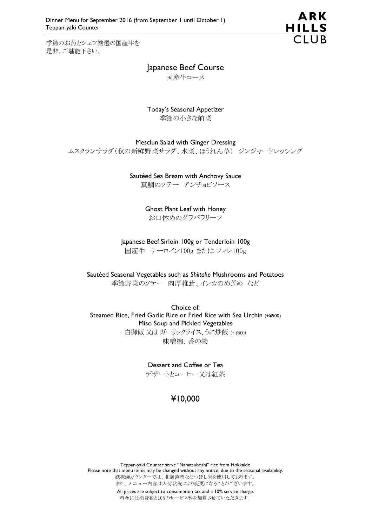季節のお魚とシェフ厳選の国産牛を 是非、ご堪能下さい。



#### Japanese Beef Course

国産牛コース

Today's Seasonal Appetizer 季節の小さな前菜

#### Mesclun Salad with Ginger Dressing

ムスクランサラダ(秋の新鮮野菜サラダ、水菜、ほうれん草) ジンジャードレッシング

Sautéed Sea Bream with Anchovy Sauce

真鯛のソテー アンチョビソース

Ghost Plant Leaf with Honey お口休めのグラパラリーフ

Japanese Beef Sirloin 100g or Tenderloin 100g

国産牛 サーロイン100g または フィレ100g

Sautéed Seasonal Vegetables such as Shiitake Mushrooms and Potatoes 季節野菜のソテー 肉厚椎茸、インカのめざめ など

Choice of: Steamed Rice, Fried Garlic Rice or Fried Rice with Sea Urchin (+¥500) Miso Soup and Pickled Vegetables 白御飯 又は ガーリックライス、うに炒飯 (+ ¥500) 味噌椀、香の物

> Dessert and Coffee or Tea デザートとコーヒー又は紅茶

# ¥10,000

Teppan-yaki Counter serve "Nanatsuboshi" rice from Hokkaido Please note that menu items may be changed without any notice, due to the seasonal availability. 鉄板焼カウンターでは、北海道産ななつぼし米を使用しております。 また、メニュー内容は入荷状況により変更になることがございます。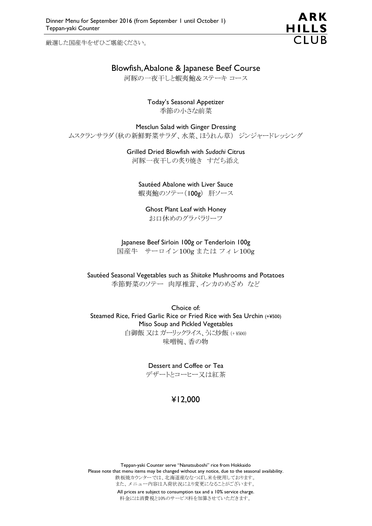厳選した国産牛をぜひご堪能ください。

# **ARK HILLS**

## Blowfish, Abalone & Japanese Beef Course

河豚の一夜干しと蝦夷鮑&ステーキ コース

Today's Seasonal Appetizer 季節の小さな前菜

Mesclun Salad with Ginger Dressing

ムスクランサラダ(秋の新鮮野菜サラダ、水菜、ほうれん草) ジンジャードレッシング

Grilled Dried Blowfish with Sudachi Citrus

河豚一夜干しの炙り焼き すだち添え

#### Sautéed Abalone with Liver Sauce

蝦夷鮑のソテー(100g) 肝ソース

Ghost Plant Leaf with Honey お口休めのグラパラリーフ

Japanese Beef Sirloin 100g or Tenderloin 100g

国産牛 サーロイン100g または フィレ100g

Sautéed Seasonal Vegetables such as Shiitake Mushrooms and Potatoes 季節野菜のソテー 肉厚椎茸、インカのめざめ など

Choice of: Steamed Rice, Fried Garlic Rice or Fried Rice with Sea Urchin (+¥500) Miso Soup and Pickled Vegetables 白御飯 又は ガーリックライス、うに炒飯 (+¥500) 味噌椀、香の物

> Dessert and Coffee or Tea デザートとコーヒー又は紅茶

## ¥12,000

Teppan-yaki Counter serve "Nanatsuboshi" rice from Hokkaido Please note that menu items may be changed without any notice, due to the seasonal availability. 鉄板焼カウンターでは、北海道産ななつぼし米を使用しております。 また、メニュー内容は入荷状況により変更になることがございます。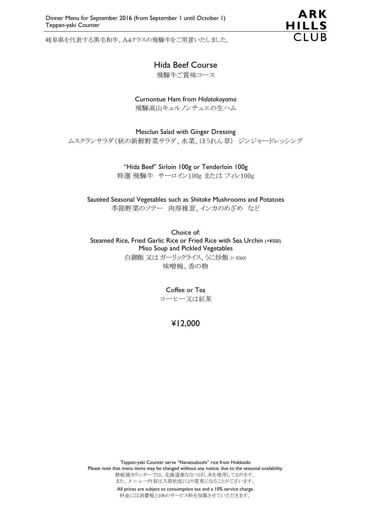岐阜県を代表する黒毛和牛、A4クラスの飛騨牛をご用意いたしました。



#### Hida Beef Course

飛騨牛ご賞味コース

Curnontue Ham from Hidatakayama 飛騨高山キュルノンチュエの生ハム

Mesclun Salad with Ginger Dressing ムスクランサラダ(秋の新鮮野菜サラダ、水菜、ほうれん草) ジンジャードレッシング

> "Hida Beef" Sirloin 100g or Tenderloin 100g 特選 飛騨牛 サーロイン100g または フィレ100g

Sautéed Seasonal Vegetables such as Shiitake Mushrooms and Potatoes 季節野菜のソテー 肉厚椎茸、インカのめざめ など

Choice of: Steamed Rice, Fried Garlic Rice or Fried Rice with Sea Urchin (+¥500) Miso Soup and Pickled Vegetables 白御飯 又は ガーリックライス、うに炒飯 (+ ¥500) 味噌椀、香の物

Coffee or Tea

コーヒー又は紅茶

¥12,000

Teppan-yaki Counter serve "Nanatsuboshi" rice from Hokkaido Please note that menu items may be changed without any notice, due to the seasonal availability. 鉄板焼カウンターでは、北海道産ななつぼし米を使用しております。 また、メニュー内容は入荷状況により変更になることがございます。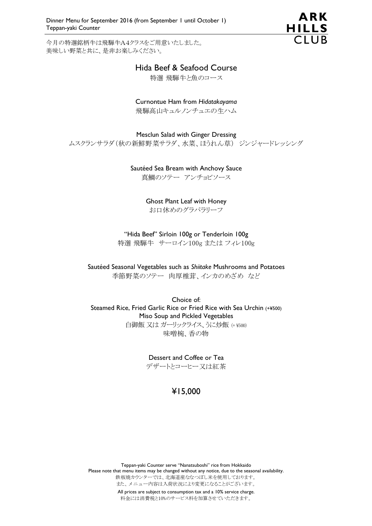今月の特選銘柄牛は飛騨牛A4クラスをご用意いたしました。 美味しい野菜と共に、是非お楽しみください。



## Hida Beef & Seafood Course

特選 飛騨牛と魚のコース

Curnontue Ham from Hidatakayama 飛騨高山キュルノンチュエの生ハム

Mesclun Salad with Ginger Dressing ムスクランサラダ(秋の新鮮野菜サラダ、水菜、ほうれん草) ジンジャードレッシング

> Sautéed Sea Bream with Anchovy Sauce 真鯛のソテー アンチョビソース

> > Ghost Plant Leaf with Honey お口休めのグラパラリーフ

"Hida Beef" Sirloin 100g or Tenderloin 100g 特選 飛騨牛 サーロイン100g または フィレ100g

Sautéed Seasonal Vegetables such as Shiitake Mushrooms and Potatoes 季節野菜のソテー 肉厚椎茸、インカのめざめ など

Choice of: Steamed Rice, Fried Garlic Rice or Fried Rice with Sea Urchin (+¥500) Miso Soup and Pickled Vegetables 白御飯 又は ガーリックライス、うに炒飯 (+ ¥500) 味噌椀、香の物

> Dessert and Coffee or Tea デザートとコーヒー又は紅茶

## ¥15,000

Teppan-yaki Counter serve "Nanatsuboshi" rice from Hokkaido Please note that menu items may be changed without any notice, due to the seasonal availability. 鉄板焼カウンターでは、北海道産ななつぼし米を使用しております。 また、メニュー内容は入荷状況により変更になることがございます。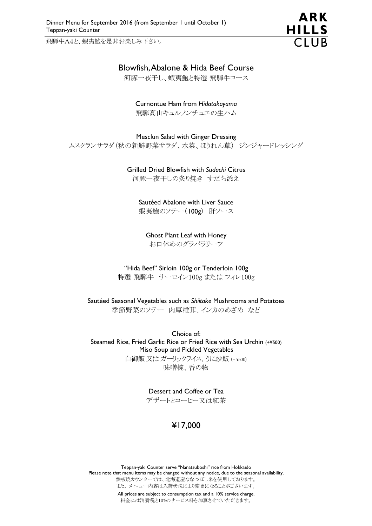飛騨牛A4と、蝦夷鮑を是非お楽しみ下さい。



#### Blowfish, Abalone & Hida Beef Course

河豚一夜干し、蝦夷鮑と特選 飛騨牛コース

Curnontue Ham from Hidatakayama 飛騨高山キュルノンチュエの生ハム

Mesclun Salad with Ginger Dressing

ムスクランサラダ(秋の新鮮野菜サラダ、水菜、ほうれん草) ジンジャードレッシング

Grilled Dried Blowfish with Sudachi Citrus 河豚一夜干しの炙り焼き すだち添え

Sautéed Abalone with Liver Sauce 蝦夷鮑のソテー(100g) 肝ソース

Ghost Plant Leaf with Honey

お口休めのグラパラリーフ

"Hida Beef" Sirloin 100g or Tenderloin 100g 特選 飛騨牛 サーロイン100g または フィレ100g

Sautéed Seasonal Vegetables such as Shiitake Mushrooms and Potatoes 季節野菜のソテー 肉厚椎茸、インカのめざめ など

Choice of: Steamed Rice, Fried Garlic Rice or Fried Rice with Sea Urchin (+¥500) Miso Soup and Pickled Vegetables 白御飯 又は ガーリックライス、うに炒飯 (+ ¥500) 味噌椀、香の物

> Dessert and Coffee or Tea デザートとコーヒー又は紅茶

# ¥17,000

Teppan-yaki Counter serve "Nanatsuboshi" rice from Hokkaido Please note that menu items may be changed without any notice, due to the seasonal availability. 鉄板焼カウンターでは、北海道産ななつぼし米を使用しております。 また、メニュー内容は入荷状況により変更になることがございます。 All prices are subject to consumption tax and a 10% service charge.

料金には消費税と10%のサービス料を加算させていただきます。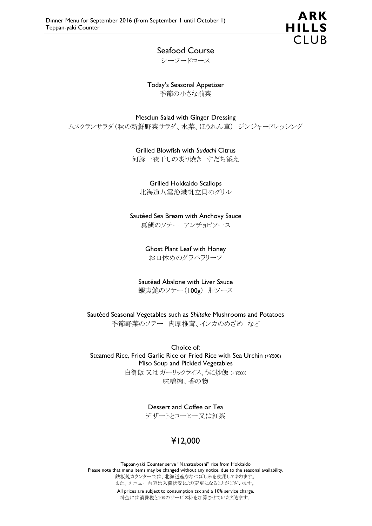**ARK** HILLS<br>CLUB

Seafood Course

シーフードコース

Today's Seasonal Appetizer 季節の小さな前菜

Mesclun Salad with Ginger Dressing ムスクランサラダ(秋の新鮮野菜サラダ、水菜、ほうれん草) ジンジャードレッシング

> Grilled Blowfish with Sudachi Citrus 河豚一夜干しの炙り焼き すだち添え

Grilled Hokkaido Scallops 北海道八雲漁港帆立貝のグリル

Sautéed Sea Bream with Anchovy Sauce

真鯛のソテー アンチョビソース

Ghost Plant Leaf with Honey お口休めのグラパラリーフ

Sautéed Abalone with Liver Sauce 蝦夷鮑のソテー(100g) 肝ソース

Sautéed Seasonal Vegetables such as Shiitake Mushrooms and Potatoes 季節野菜のソテー 肉厚椎茸、インカのめざめ など

Choice of: Steamed Rice, Fried Garlic Rice or Fried Rice with Sea Urchin (+¥500) Miso Soup and Pickled Vegetables 白御飯 又は ガーリックライス、うに炒飯 (+ ¥500)

味噌椀、香の物

Dessert and Coffee or Tea

デザートとコーヒー又は紅茶

## ¥12,000

Teppan-yaki Counter serve "Nanatsuboshi" rice from Hokkaido Please note that menu items may be changed without any notice, due to the seasonal availability. 鉄板焼カウンターでは、北海道産ななつぼし米を使用しております。 また、メニュー内容は入荷状況により変更になることがございます。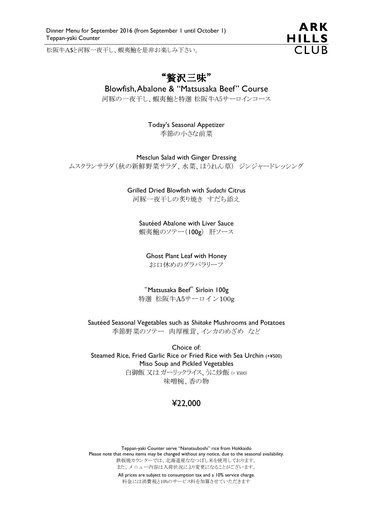ARK **HILLS** 

松阪牛A5と河豚一夜干し、蝦夷鮑を是非お楽しみ下さい。

# "贅沢三味"

Blowfish, Abalone & "Matsusaka Beef" Course

河豚の一夜干し、蝦夷鮑と特選 松阪牛A5サーロインコース

Today's Seasonal Appetizer 季節の小さな前菜

Mesclun Salad with Ginger Dressing

ムスクランサラダ(秋の新鮮野菜サラダ、水菜、ほうれん草) ジンジャードレッシング

Grilled Dried Blowfish with Sudachi Citrus

河豚一夜干しの炙り焼き すだち添え

Sautéed Abalone with Liver Sauce 蝦夷鮑のソテー(100g) 肝ソース

Ghost Plant Leaf with Honey お口休めのグラパラリーフ

"Matsusaka Beef" Sirloin 100g 特選 松阪牛A5サーロイン100g

Sautéed Seasonal Vegetables such as Shiitake Mushrooms and Potatoes 季節野菜のソテー 肉厚椎茸、インカのめざめ など

Choice of: Steamed Rice, Fried Garlic Rice or Fried Rice with Sea Urchin (+¥500) Miso Soup and Pickled Vegetables

白御飯 又は ガーリックライス、うに炒飯 (+ ¥500) 味噌椀、香の物

## ¥22,000

Teppan-yaki Counter serve "Nanatsuboshi" rice from Hokkaido Please note that menu items may be changed without any notice, due to the seasonal availability. 鉄板焼カウンターでは、北海道産ななつぼし米を使用しております。 また、メニュー内容は入荷状況により変更になることがございます。